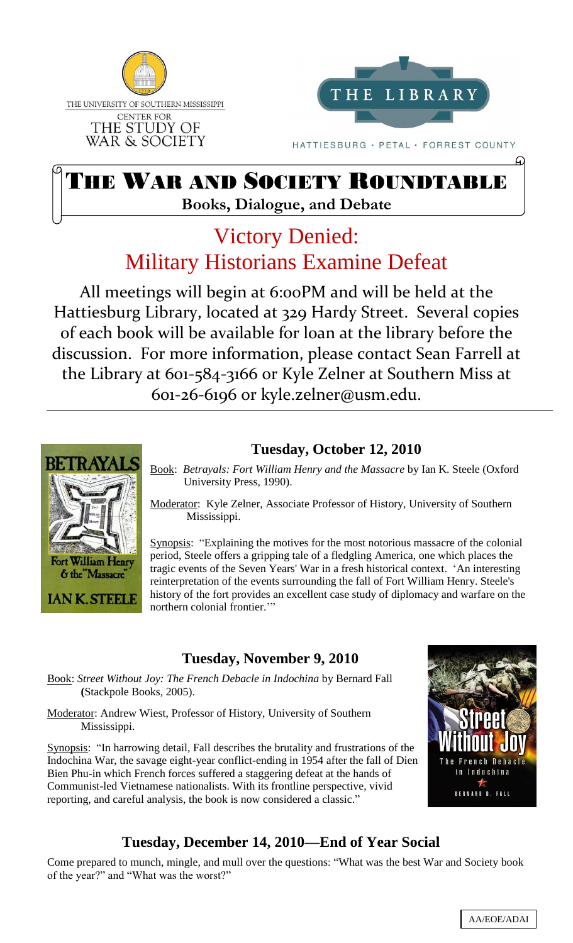



HATTIESBURG · PETAL · FORREST COUNTY

# THE WAR AND SOCIETY ROUNDTABLE **Books, Dialogue, and Debate**

# Victory Denied: Military Historians Examine Defeat

All meetings will begin at 6:00PM and will be held at the Hattiesburg Library, located at 329 Hardy Street. Several copies of each book will be available for loan at the library before the discussion. For more information, please contact Sean Farrell at the Library at 601-584-3166 or Kyle Zelner at Southern Miss at 601-26-6196 or kyle.zelner@usm.edu. 1



#### **Tuesday, October 12, 2010**

Book: *Betrayals: Fort William Henry and the Massacre* by Ian K. Steele (Oxford University Press, 1990).

Moderator: Kyle Zelner, Associate Professor of History, University of Southern Mississippi.

Synopsis: "Explaining the motives for the most notorious massacre of the colonial period, Steele offers a gripping tale of a fledgling America, one which places the tragic events of the Seven Years' War in a fresh historical context. "An interesting reinterpretation of the events surrounding the fall of Fort William Henry. Steele's history of the fort provides an excellent case study of diplomacy and warfare on the northern colonial frontier.""

#### **Tuesday, November 9, 2010**

Book: *Street Without Joy: The French Debacle in Indochina* by Bernard Fall **(**Stackpole Books, 2005).

Moderator: Andrew Wiest, Professor of History, University of Southern Mississippi.

Synopsis: "In harrowing detail, Fall describes the brutality and frustrations of the Indochina War, the savage eight-year conflict-ending in 1954 after the fall of Dien Bien Phu-in which French forces suffered a staggering defeat at the hands of Communist-led Vietnamese nationalists. With its frontline perspective, vivid reporting, and careful analysis, the book is now considered a classic."



### **Tuesday, December 14, 2010—End of Year Social**

Come prepared to munch, mingle, and mull over the questions: "What was the best War and Society book of the year?" and "What was the worst?"